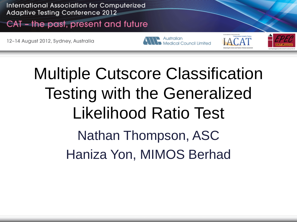International Association for Computerized **Adaptive Testing Conference 2012** 

#### CAT - the past, present and future

12-14 August 2012, Sydney, Australia

Australian Medical Council Limited

Multiple Cutscore Classification Testing with the Generalized Likelihood Ratio Test Nathan Thompson, ASC Haniza Yon, MIMOS Berhad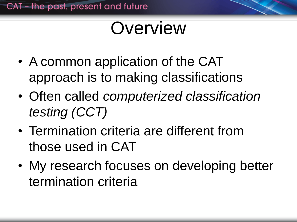## Overview

- A common application of the CAT approach is to making classifications
- Often called *computerized classification testing (CCT)*
- Termination criteria are different from those used in CAT
- My research focuses on developing better termination criteria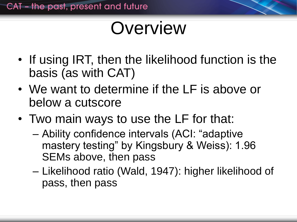## **Overview**

- If using IRT, then the likelihood function is the basis (as with CAT)
- We want to determine if the LF is above or below a cutscore
- Two main ways to use the LF for that:
	- Ability confidence intervals (ACI: "adaptive mastery testing" by Kingsbury & Weiss): 1.96 SEMs above, then pass
	- Likelihood ratio (Wald, 1947): higher likelihood of pass, then pass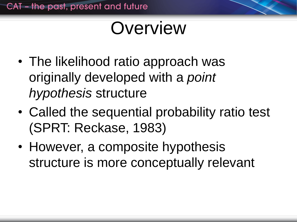#### Overview

- The likelihood ratio approach was originally developed with a *point hypothesis* structure
- Called the sequential probability ratio test (SPRT: Reckase, 1983)
- However, a composite hypothesis structure is more conceptually relevant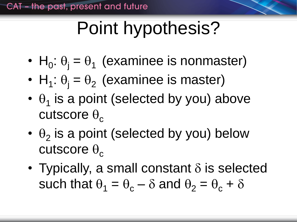# Point hypothesis?

- $H_0$ :  $\theta_j = \theta_1$  (examinee is nonmaster)
- $H_1$ :  $\theta_j = \theta_2$  (examinee is master)
- $\cdot$   $\theta_1$  is a point (selected by you) above cutscore  $\theta_c$
- $\cdot$   $\theta_2$  is a point (selected by you) below cutscore  $\theta_c$
- Typically, a small constant  $\delta$  is selected such that  $\theta_1 = \theta_c - \delta$  and  $\theta_2 = \theta_c + \delta$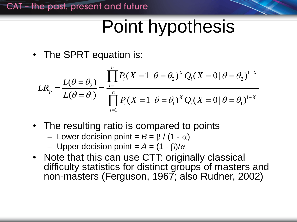## Point hypothesis

• The SPRT equation is:

The SPRT equation is:  
\n
$$
LR_{p} = \frac{L(\theta = \theta_{2})}{L(\theta = \theta_{1})} = \frac{\prod_{i=1}^{n} P_{i}(X = 1 | \theta = \theta_{2})^{X} Q_{i}(X = 0 | \theta = \theta_{2})^{1-X}}{\prod_{i=1}^{n} P_{i}(X = 1 | \theta = \theta_{1})^{X} Q_{i}(X = 0 | \theta = \theta_{1})^{1-X}}
$$

- The resulting ratio is compared to points
	- Lower decision point =  $B = \beta / (1 \alpha)$
	- Upper decision point =  $A = (1 \beta)/\alpha$
- Note that this can use CTT: originally classical difficulty statistics for distinct groups of masters and non-masters (Ferguson, 1967; also Rudner, 2002)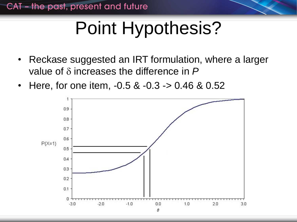# Point Hypothesis?

- Reckase suggested an IRT formulation, where a larger value of  $\delta$  increases the difference in  $P$
- Here, for one item, -0.5 & -0.3 -> 0.46 & 0.52

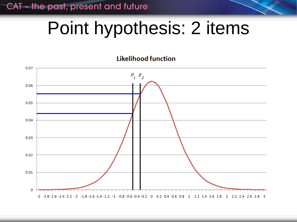CAT - the past, present and future

### Point hypothesis: 2 items

#### **Likelihood function**

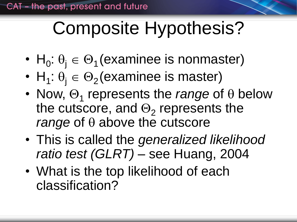# Composite Hypothesis?

- $H_0: \theta_j \in \Theta_1$  (examinee is nonmaster)
- $H_1: \theta_j \in \Theta_2$  (examinee is master)
- Now,  $\Theta_1$  represents the *range* of  $\theta$  below the cutscore, and  $\Theta_2$  represents the *range* of  $\theta$  above the cutscore
- This is called the *generalized likelihood ratio test (GLRT)* – see Huang, 2004
- What is the top likelihood of each classification?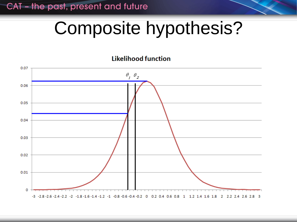CAT - the past, present and future

## Composite hypothesis?

#### **Likelihood function**

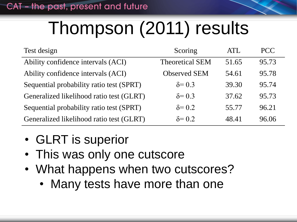# Thompson (2011) results

| Test design                              | Scoring                | <b>ATL</b> | <b>PCC</b> |
|------------------------------------------|------------------------|------------|------------|
| Ability confidence intervals (ACI)       | <b>Theoretical SEM</b> | 51.65      | 95.73      |
| Ability confidence intervals (ACI)       | <b>Observed SEM</b>    | 54.61      | 95.78      |
| Sequential probability ratio test (SPRT) | $\delta = 0.3$         | 39.30      | 95.74      |
| Generalized likelihood ratio test (GLRT) | $\delta = 0.3$         | 37.62      | 95.73      |
| Sequential probability ratio test (SPRT) | $\delta = 0.2$         | 55.77      | 96.21      |
| Generalized likelihood ratio test (GLRT) | $\delta = 0.2$         | 48.41      | 96.06      |

- GLRT is superior
- This was only one cutscore
- What happens when two cutscores?
	- Many tests have more than one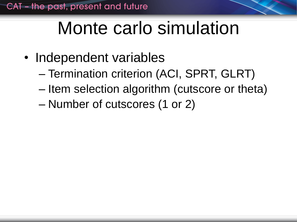## Monte carlo simulation

- Independent variables
	- Termination criterion (ACI, SPRT, GLRT)
	- Item selection algorithm (cutscore or theta)
	- Number of cutscores (1 or 2)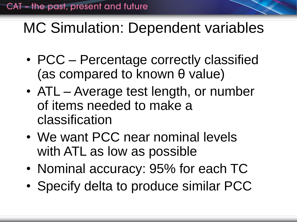#### MC Simulation: Dependent variables

- PCC Percentage correctly classified (as compared to known θ value)
- ATL Average test length, or number of items needed to make a classification
- We want PCC near nominal levels with ATL as low as possible
- Nominal accuracy: 95% for each TC
- Specify delta to produce similar PCC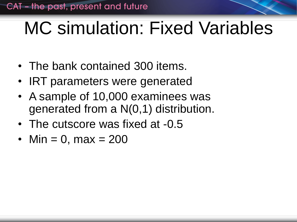## MC simulation: Fixed Variables

- The bank contained 300 items.
- IRT parameters were generated
- A sample of 10,000 examinees was generated from a N(0,1) distribution.
- The cutscore was fixed at -0.5
- Min = 0, max =  $200$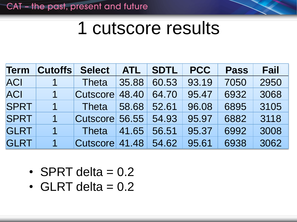#### 1 cutscore results

| <b>Term</b> | <b>Cutoffs</b> | <b>Select</b>        | <b>ATL</b> | <b>SDTL</b> | <b>PCC</b> | <b>Pass</b> | <b>Fail</b> |
|-------------|----------------|----------------------|------------|-------------|------------|-------------|-------------|
| <b>ACI</b>  |                | Theta                | 35.88      | 60.53       | 93.19      | 7050        | 2950        |
| <b>ACI</b>  |                | Cutscore 48.40       |            | 64.70       | 95.47      | 6932        | 3068        |
| <b>SPRT</b> |                | Theta                | 58.68      | 52.61       | 96.08      | 6895        | 3105        |
| <b>SPRT</b> | 1.             | Cutscore 56.55 54.93 |            |             | 95.97      | 6882        | 3118        |
| <b>GLRT</b> | $\mathbf 1$    | Theta                | 41.65      | 56.51       | 95.37      | 6992        | 3008        |
| <b>GLRT</b> |                | Cutscore 41.48 54.62 |            |             | 95.61      | 6938        | 3062        |

- SPRT delta  $= 0.2$
- GLRT delta  $= 0.2$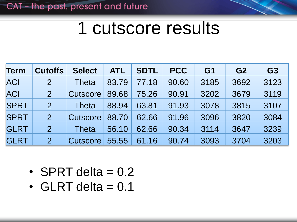#### 1 cutscore results

| <b>Term</b> | <b>Cutoffs</b> | <b>Select</b>   | <b>ATL</b> | <b>SDTL</b> | <b>PCC</b> | G <sub>1</sub> | G <sub>2</sub> | G <sub>3</sub> |
|-------------|----------------|-----------------|------------|-------------|------------|----------------|----------------|----------------|
| <b>ACI</b>  | $\overline{2}$ | <b>Theta</b>    | 83.79      | 77.18       | 90.60      | 3185           | 3692           | 3123           |
| <b>ACI</b>  | $\overline{2}$ | Cutscore        | 89.68      | 75.26       | 90.91      | 3202           | 3679           | 3119           |
| <b>SPRT</b> | $\overline{2}$ | <b>Theta</b>    | 88.94      | 63.81       | 91.93      | 3078           | 3815           | 3107           |
| <b>SPRT</b> | $\overline{2}$ | Cutscore        | 88.70      | 62.66       | 91.96      | 3096           | 3820           | 3084           |
| <b>GLRT</b> | 2 <sup>1</sup> | <b>Theta</b>    | 56.10      | 62.66       | 90.34      | 3114           | 3647           | 3239           |
| <b>GLRT</b> | $\overline{2}$ | <b>Cutscore</b> | 55.55      | 61.16       | 90.74      | 3093           | 3704           | 3203           |

- SPRT delta  $= 0.2$
- $\cdot$  GLRT delta = 0.1